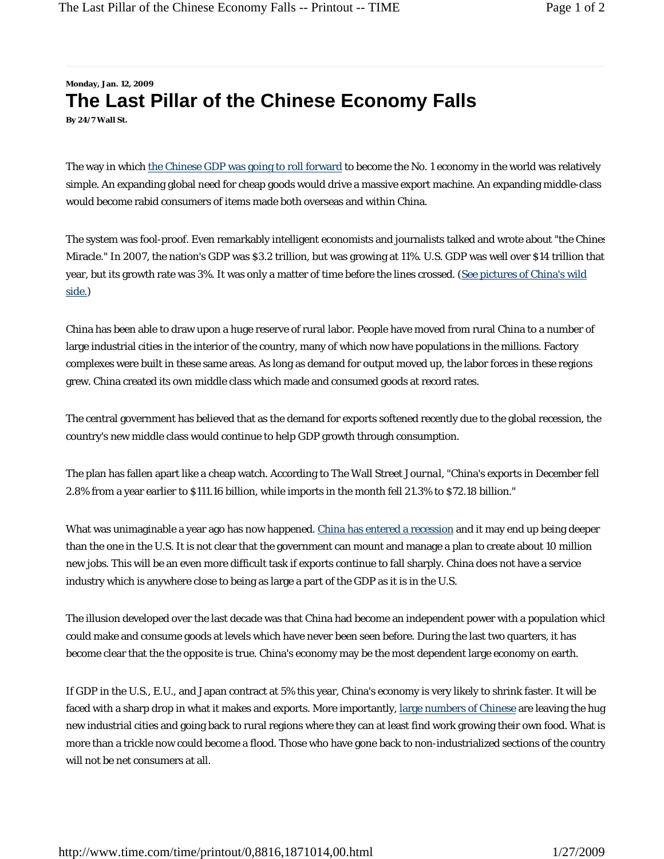## **Monday, Jan. 12, 2009 The Last Pillar of the Chinese Economy Falls By 24/7 Wall St.**

The way in which the Chinese GDP was going to roll forward to become the No. 1 economy in the world was relatively simple. An expanding global need for cheap goods would drive a massive export machine. An expanding middle-class would become rabid consumers of items made both overseas and within China.

The system was fool-proof. Even remarkably intelligent economists and journalists talked and wrote about "the Chines Miracle." In 2007, the nation's GDP was \$3.2 trillion, but was growing at 11%. U.S. GDP was well over \$14 trillion that year, but its growth rate was 3%. It was only a matter of time before the lines crossed. (See pictures of China's wild side.)

China has been able to draw upon a huge reserve of rural labor. People have moved from rural China to a number of large industrial cities in the interior of the country, many of which now have populations in the millions. Factory complexes were built in these same areas. As long as demand for output moved up, the labor forces in these regions grew. China created its own middle class which made and consumed goods at record rates.

The central government has believed that as the demand for exports softened recently due to the global recession, the country's new middle class would continue to help GDP growth through consumption.

The plan has fallen apart like a cheap watch. According to The Wall Street *Journal*, "China's exports in December fell 2.8% from a year earlier to \$111.16 billion, while imports in the month fell 21.3% to \$72.18 billion."

What was unimaginable a year ago has now happened. China has entered a recession and it may end up being deeper than the one in the U.S. It is not clear that the government can mount and manage a plan to create about 10 million new jobs. This will be an even more difficult task if exports continue to fall sharply. China does not have a service industry which is anywhere close to being as large a part of the GDP as it is in the U.S.

The illusion developed over the last decade was that China had become an independent power with a population which could make and consume goods at levels which have never been seen before. During the last two quarters, it has become clear that the the opposite is true. China's economy may be the most dependent large economy on earth.

If GDP in the U.S., E.U., and Japan contract at 5% this year, China's economy is very likely to shrink faster. It will be faced with a sharp drop in what it makes and exports. More importantly, large numbers of Chinese are leaving the hug new industrial cities and going back to rural regions where they can at least find work growing their own food. What is more than a trickle now could become a flood. Those who have gone back to non-industrialized sections of the country will not be net consumers at all.